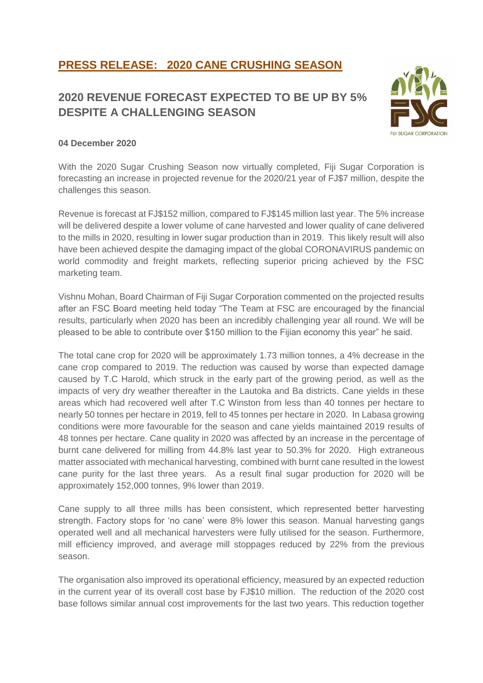# **PRESS RELEASE: 2020 CANE CRUSHING SEASON**

### **2020 REVENUE FORECAST EXPECTED TO BE UP BY 5% DESPITE A CHALLENGING SEASON**



#### **04 December 2020**

With the 2020 Sugar Crushing Season now virtually completed, Fiji Sugar Corporation is forecasting an increase in projected revenue for the 2020/21 year of FJ\$7 million, despite the challenges this season.

Revenue is forecast at FJ\$152 million, compared to FJ\$145 million last year. The 5% increase will be delivered despite a lower volume of cane harvested and lower quality of cane delivered to the mills in 2020, resulting in lower sugar production than in 2019. This likely result will also have been achieved despite the damaging impact of the global CORONAVIRUS pandemic on world commodity and freight markets, reflecting superior pricing achieved by the FSC marketing team.

Vishnu Mohan, Board Chairman of Fiji Sugar Corporation commented on the projected results after an FSC Board meeting held today "The Team at FSC are encouraged by the financial results, particularly when 2020 has been an incredibly challenging year all round. We will be pleased to be able to contribute over \$150 million to the Fijian economy this year" he said.

The total cane crop for 2020 will be approximately 1.73 million tonnes, a 4% decrease in the cane crop compared to 2019. The reduction was caused by worse than expected damage caused by T.C Harold, which struck in the early part of the growing period, as well as the impacts of very dry weather thereafter in the Lautoka and Ba districts. Cane yields in these areas which had recovered well after T.C Winston from less than 40 tonnes per hectare to nearly 50 tonnes per hectare in 2019, fell to 45 tonnes per hectare in 2020. In Labasa growing conditions were more favourable for the season and cane yields maintained 2019 results of 48 tonnes per hectare. Cane quality in 2020 was affected by an increase in the percentage of burnt cane delivered for milling from 44.8% last year to 50.3% for 2020. High extraneous matter associated with mechanical harvesting, combined with burnt cane resulted in the lowest cane purity for the last three years. As a result final sugar production for 2020 will be approximately 152,000 tonnes, 9% lower than 2019.

Cane supply to all three mills has been consistent, which represented better harvesting strength. Factory stops for 'no cane' were 8% lower this season. Manual harvesting gangs operated well and all mechanical harvesters were fully utilised for the season. Furthermore, mill efficiency improved, and average mill stoppages reduced by 22% from the previous season.

The organisation also improved its operational efficiency, measured by an expected reduction in the current year of its overall cost base by FJ\$10 million. The reduction of the 2020 cost base follows similar annual cost improvements for the last two years. This reduction together